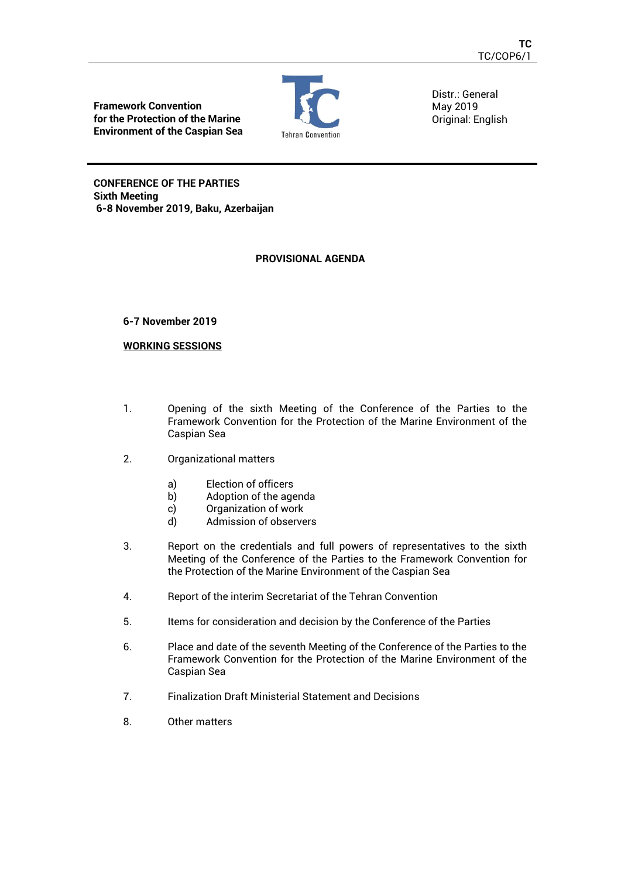**Framework Convention for the Protection of the Marine Environment of the Caspian Sea**



Distr.: General May 2019 Original: English

**CONFERENCE OF THE PARTIES Sixth Meeting 6-8 November 2019, Baku, Azerbaijan** 

# **PROVISIONAL AGENDA**

# **6-7 November 2019**

# **WORKING SESSIONS**

- 1. Opening of the sixth Meeting of the Conference of the Parties to the Framework Convention for the Protection of the Marine Environment of the Caspian Sea
- 2. Organizational matters
	- a) Election of officers
	- b) Adoption of the agenda
	- c) Organization of work
	- d) Admission of observers
- 3. Report on the credentials and full powers of representatives to the sixth Meeting of the Conference of the Parties to the Framework Convention for the Protection of the Marine Environment of the Caspian Sea
- 4. Report of the interim Secretariat of the Tehran Convention
- 5. Items for consideration and decision by the Conference of the Parties
- 6. Place and date of the seventh Meeting of the Conference of the Parties to the Framework Convention for the Protection of the Marine Environment of the Caspian Sea
- 7. Finalization Draft Ministerial Statement and Decisions
- 8. Other matters